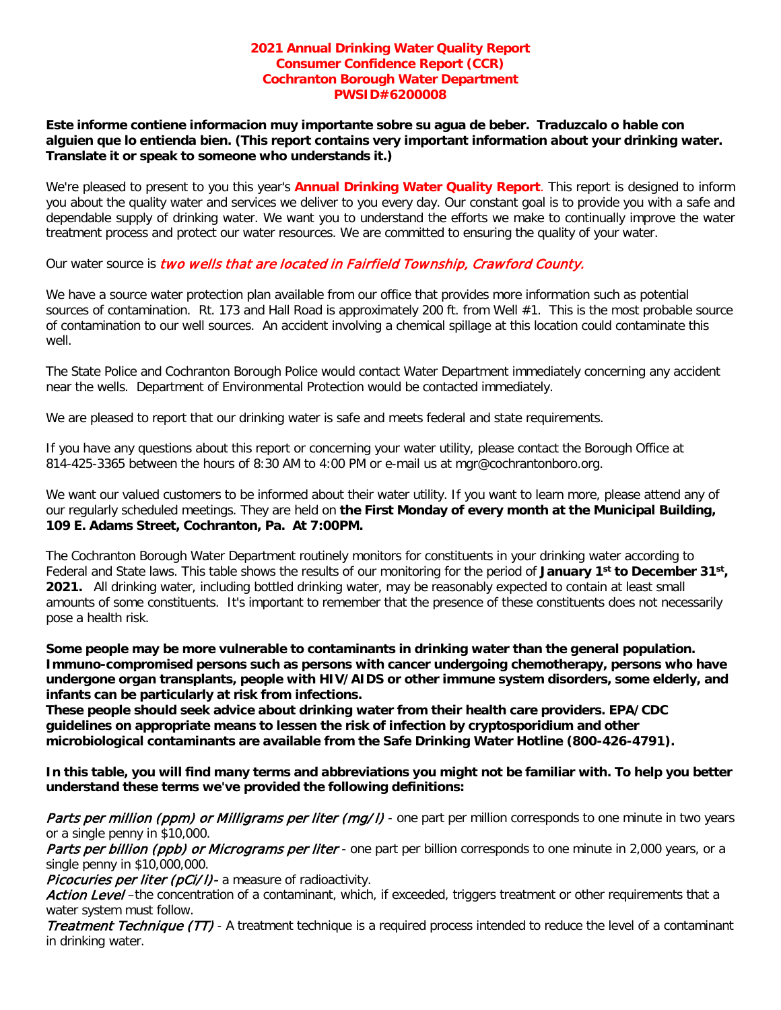### **2021 Annual Drinking Water Quality Report Consumer Confidence Report (CCR) Cochranton Borough Water Department PWSID#6200008**

**Este informe contiene informacion muy importante sobre su agua de beber. Traduzcalo o hable con alguien que lo entienda bien. (This report contains very important information about your drinking water. Translate it or speak to someone who understands it.)**

We're pleased to present to you this year's **Annual Drinking Water Quality Report**. This report is designed to inform you about the quality water and services we deliver to you every day. Our constant goal is to provide you with a safe and dependable supply of drinking water. We want you to understand the efforts we make to continually improve the water treatment process and protect our water resources. We are committed to ensuring the quality of your water.

Our water source is two wells that are located in Fairfield Township, Crawford County.

We have a source water protection plan available from our office that provides more information such as potential sources of contamination. Rt. 173 and Hall Road is approximately 200 ft. from Well  $#1$ . This is the most probable source of contamination to our well sources. An accident involving a chemical spillage at this location could contaminate this well.

The State Police and Cochranton Borough Police would contact Water Department immediately concerning any accident near the wells. Department of Environmental Protection would be contacted immediately.

We are pleased to report that our drinking water is safe and meets federal and state requirements.

If you have any questions about this report or concerning your water utility, please contact the Borough Office at 814-425-3365 between the hours of 8:30 AM to 4:00 PM or e-mail us at mgr@cochrantonboro.org.

We want our valued customers to be informed about their water utility. If you want to learn more, please attend any of our regularly scheduled meetings. They are held on **the First Monday of every month at the Municipal Building, 109 E. Adams Street, Cochranton, Pa. At 7:00PM.**

The Cochranton Borough Water Department routinely monitors for constituents in your drinking water according to Federal and State laws. This table shows the results of our monitoring for the period of **January 1st to December 31st, 2021.** All drinking water, including bottled drinking water, may be reasonably expected to contain at least small amounts of some constituents. It's important to remember that the presence of these constituents does not necessarily pose a health risk.

**Some people may be more vulnerable to contaminants in drinking water than the general population. Immuno-compromised persons such as persons with cancer undergoing chemotherapy, persons who have undergone organ transplants, people with HIV/AIDS or other immune system disorders, some elderly, and infants can be particularly at risk from infections.** 

**These people should seek advice about drinking water from their health care providers. EPA/CDC guidelines on appropriate means to lessen the risk of infection by cryptosporidium and other microbiological contaminants are available from the Safe Drinking Water Hotline (800-426-4791).**

**In this table, you will find many terms and abbreviations you might not be familiar with. To help you better understand these terms we've provided the following definitions:**

Parts per million (ppm) or Milligrams per liter (mg/l) - one part per million corresponds to one minute in two years or a single penny in \$10,000.

Parts per billion (ppb) or Micrograms per liter - one part per billion corresponds to one minute in 2,000 years, or a single penny in \$10,000,000.

Picocuries per liter (pCi/I)- a measure of radioactivity.

Action Level-the concentration of a contaminant, which, if exceeded, triggers treatment or other requirements that a water system must follow.

Treatment Technique (TT) - A treatment technique is a required process intended to reduce the level of a contaminant in drinking water.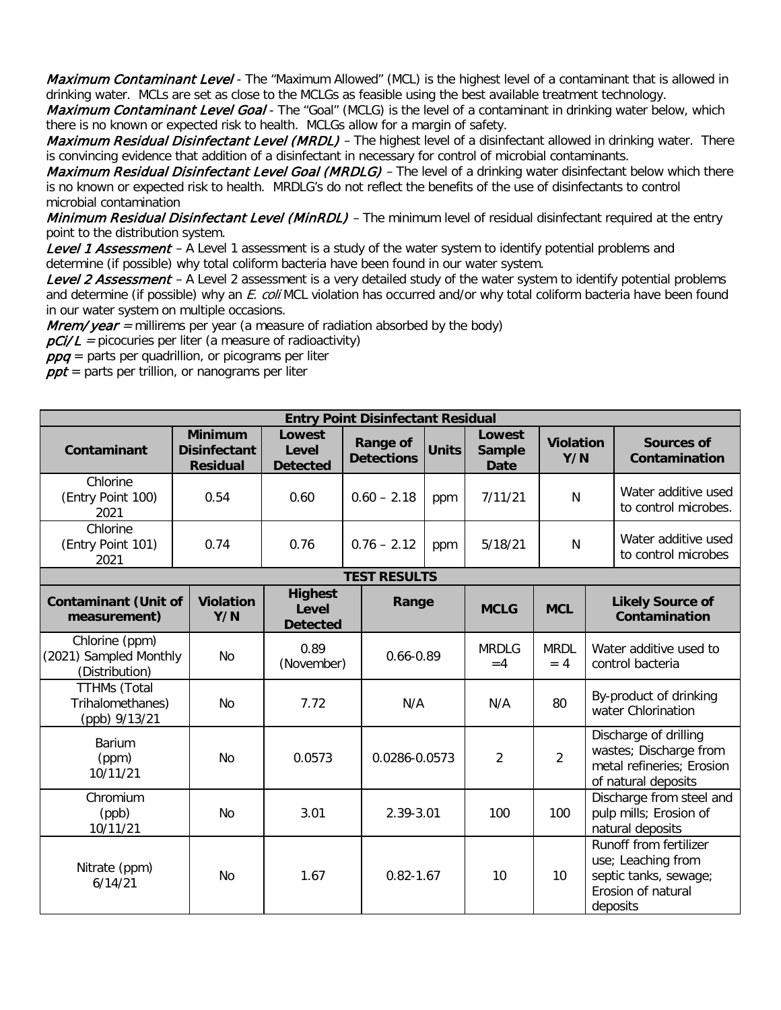Maximum Contaminant Level - The "Maximum Allowed" (MCL) is the highest level of a contaminant that is allowed in drinking water. MCLs are set as close to the MCLGs as feasible using the best available treatment technology.

Maximum Contaminant Level Goal - The "Goal" (MCLG) is the level of a contaminant in drinking water below, which there is no known or expected risk to health. MCLGs allow for a margin of safety.

Maximum Residual Disinfectant Level (MRDL) - The highest level of a disinfectant allowed in drinking water. There is convincing evidence that addition of a disinfectant in necessary for control of microbial contaminants.

Maximum Residual Disinfectant Level Goal (MRDLG) – The level of a drinking water disinfectant below which there is no known or expected risk to health. MRDLG's do not reflect the benefits of the use of disinfectants to control microbial contamination

Minimum Residual Disinfectant Level (MinRDL) - The minimum level of residual disinfectant required at the entry point to the distribution system.

Level 1 Assessment - A Level 1 assessment is a study of the water system to identify potential problems and determine (if possible) why total coliform bacteria have been found in our water system.

Level 2 Assessment – A Level 2 assessment is a very detailed study of the water system to identify potential problems and determine (if possible) why an E. coli MCL violation has occurred and/or why total coliform bacteria have been found in our water system on multiple occasions.

*Mrem/year* = millirems per year (a measure of radiation absorbed by the body)

 $pCi/L$  = picocuries per liter (a measure of radioactivity)

 $ppq$  = parts per quadrillion, or picograms per liter

 $\rho pt$  = parts per trillion, or nanograms per liter

| <b>Entry Point Disinfectant Residual</b>                              |                                                          |                                                                                            |                             |                                        |                         |                      |                                                                        |                                                                                                         |
|-----------------------------------------------------------------------|----------------------------------------------------------|--------------------------------------------------------------------------------------------|-----------------------------|----------------------------------------|-------------------------|----------------------|------------------------------------------------------------------------|---------------------------------------------------------------------------------------------------------|
| Contaminant                                                           | <b>Minimum</b><br><b>Disinfectant</b><br><b>Residual</b> | Lowest<br><b>Range of</b><br><b>Units</b><br>Level<br><b>Detections</b><br><b>Detected</b> |                             | Lowest<br><b>Sample</b><br><b>Date</b> | <b>Violation</b><br>Y/N |                      | <b>Sources of</b><br>Contamination                                     |                                                                                                         |
| Chlorine<br>(Entry Point 100)<br>2021                                 | 0.54                                                     | 0.60                                                                                       | $0.60 - 2.18$               | ppm                                    | 7/11/21                 | N                    |                                                                        | Water additive used<br>to control microbes.                                                             |
| Chlorine<br>(Entry Point 101)<br>2021                                 | 0.74                                                     | 0.76                                                                                       | $0.76 - 2.12$               |                                        | 5/18/21                 | N                    |                                                                        | Water additive used<br>to control microbes                                                              |
| <b>TEST RESULTS</b>                                                   |                                                          |                                                                                            |                             |                                        |                         |                      |                                                                        |                                                                                                         |
| <b>Contaminant (Unit of</b><br>measurement)                           | <b>Violation</b><br>Y/N                                  | <b>Highest</b><br><b>Level</b><br><b>Detected</b>                                          | Range                       |                                        | <b>MCLG</b>             | <b>MCL</b>           |                                                                        | <b>Likely Source of</b><br>Contamination                                                                |
| Chlorine (ppm)<br>(2021) Sampled Monthly<br>(Distribution)            | <b>No</b>                                                |                                                                                            | $0.66 - 0.89$<br>(November) |                                        | <b>MRDLG</b><br>$=4$    | <b>MRDL</b><br>$= 4$ | Water additive used to<br>control bacteria                             |                                                                                                         |
| <b>TTHMs (Total</b><br>Trihalomethanes)<br><b>No</b><br>(ppb) 9/13/21 |                                                          | 7.72                                                                                       |                             | N/A                                    |                         | 80                   |                                                                        | By-product of drinking<br>water Chlorination                                                            |
| Barium<br>(ppm)<br>10/11/21                                           | <b>No</b>                                                | 0.0573                                                                                     |                             | 0.0286-0.0573                          |                         | $\overline{2}$       |                                                                        | Discharge of drilling<br>wastes; Discharge from<br>metal refineries; Erosion<br>of natural deposits     |
| Chromium<br><b>No</b><br>(ppb)<br>10/11/21                            |                                                          | 3.01                                                                                       |                             | 2.39-3.01                              |                         | 100                  | Discharge from steel and<br>pulp mills; Erosion of<br>natural deposits |                                                                                                         |
| Nitrate (ppm)<br>6/14/21                                              | <b>No</b>                                                | 1.67                                                                                       | $0.82 - 1.67$               |                                        | 10                      | 10                   |                                                                        | Runoff from fertilizer<br>use; Leaching from<br>septic tanks, sewage;<br>Erosion of natural<br>deposits |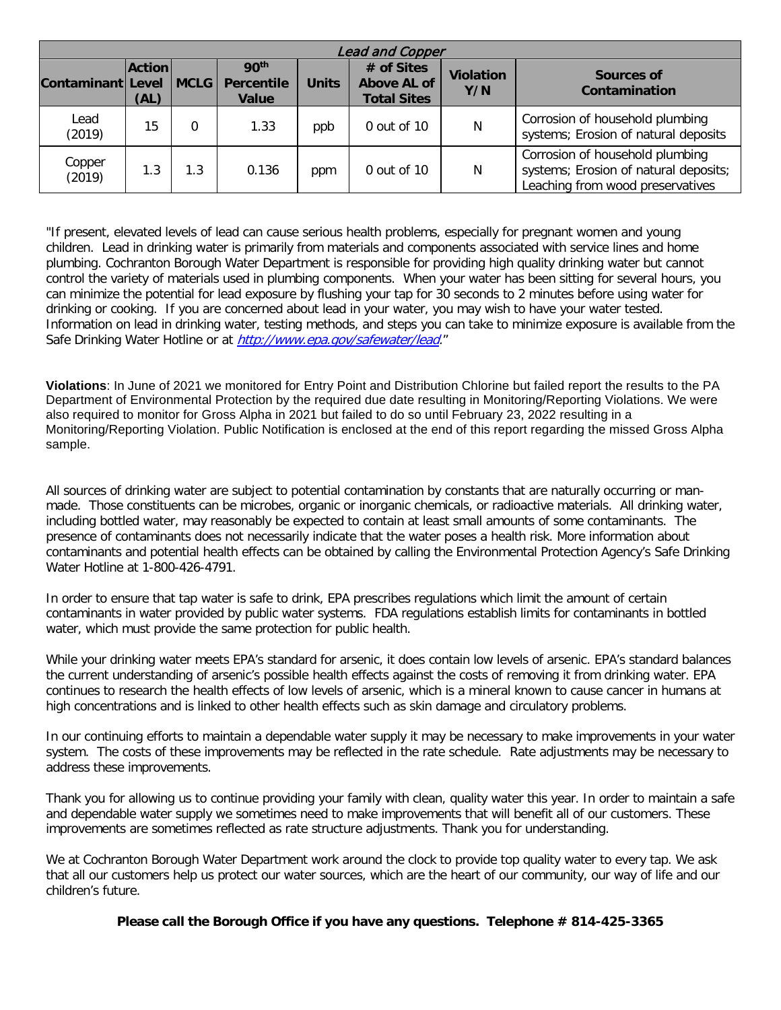| <b>Lead and Copper</b> |                       |             |                                                       |              |                                                        |                         |                                                                                                              |
|------------------------|-----------------------|-------------|-------------------------------------------------------|--------------|--------------------------------------------------------|-------------------------|--------------------------------------------------------------------------------------------------------------|
| Contaminant Level      | <b>Action</b><br>(AL) | <b>MCLG</b> | 90 <sup>th</sup><br><b>Percentile</b><br><b>Value</b> | <b>Units</b> | # of Sites<br><b>Above AL of</b><br><b>Total Sites</b> | <b>Violation</b><br>Y/N | Sources of<br>Contamination                                                                                  |
| Lead<br>(2019)         | 15                    | 0           | 1.33                                                  | ppb          | 0 out of 10                                            | N                       | Corrosion of household plumbing<br>systems; Erosion of natural deposits                                      |
| Copper<br>(2019)       | 1.3                   | 1.3         | 0.136                                                 | ppm          | $0$ out of $10$                                        | N                       | Corrosion of household plumbing<br>systems; Erosion of natural deposits;<br>Leaching from wood preservatives |

"If present, elevated levels of lead can cause serious health problems, especially for pregnant women and young children. Lead in drinking water is primarily from materials and components associated with service lines and home plumbing. Cochranton Borough Water Department is responsible for providing high quality drinking water but cannot control the variety of materials used in plumbing components. When your water has been sitting for several hours, you can minimize the potential for lead exposure by flushing your tap for 30 seconds to 2 minutes before using water for drinking or cooking. If you are concerned about lead in your water, you may wish to have your water tested. Information on lead in drinking water, testing methods, and steps you can take to minimize exposure is available from the Safe Drinking Water Hotline or at http://www.epa.gov/safewater/lead."

**Violations**: In June of 2021 we monitored for Entry Point and Distribution Chlorine but failed report the results to the PA Department of Environmental Protection by the required due date resulting in Monitoring/Reporting Violations. We were also required to monitor for Gross Alpha in 2021 but failed to do so until February 23, 2022 resulting in a Monitoring/Reporting Violation. Public Notification is enclosed at the end of this report regarding the missed Gross Alpha sample.

All sources of drinking water are subject to potential contamination by constants that are naturally occurring or manmade. Those constituents can be microbes, organic or inorganic chemicals, or radioactive materials. All drinking water, including bottled water, may reasonably be expected to contain at least small amounts of some contaminants. The presence of contaminants does not necessarily indicate that the water poses a health risk. More information about contaminants and potential health effects can be obtained by calling the Environmental Protection Agency's Safe Drinking Water Hotline at 1-800-426-4791.

In order to ensure that tap water is safe to drink, EPA prescribes regulations which limit the amount of certain contaminants in water provided by public water systems. FDA regulations establish limits for contaminants in bottled water, which must provide the same protection for public health.

While your drinking water meets EPA's standard for arsenic, it does contain low levels of arsenic. EPA's standard balances the current understanding of arsenic's possible health effects against the costs of removing it from drinking water. EPA continues to research the health effects of low levels of arsenic, which is a mineral known to cause cancer in humans at high concentrations and is linked to other health effects such as skin damage and circulatory problems.

In our continuing efforts to maintain a dependable water supply it may be necessary to make improvements in your water system. The costs of these improvements may be reflected in the rate schedule. Rate adjustments may be necessary to address these improvements.

Thank you for allowing us to continue providing your family with clean, quality water this year. In order to maintain a safe and dependable water supply we sometimes need to make improvements that will benefit all of our customers. These improvements are sometimes reflected as rate structure adjustments. Thank you for understanding.

We at Cochranton Borough Water Department work around the clock to provide top quality water to every tap. We ask that all our customers help us protect our water sources, which are the heart of our community, our way of life and our children's future.

**Please call the Borough Office if you have any questions. Telephone # 814-425-3365**